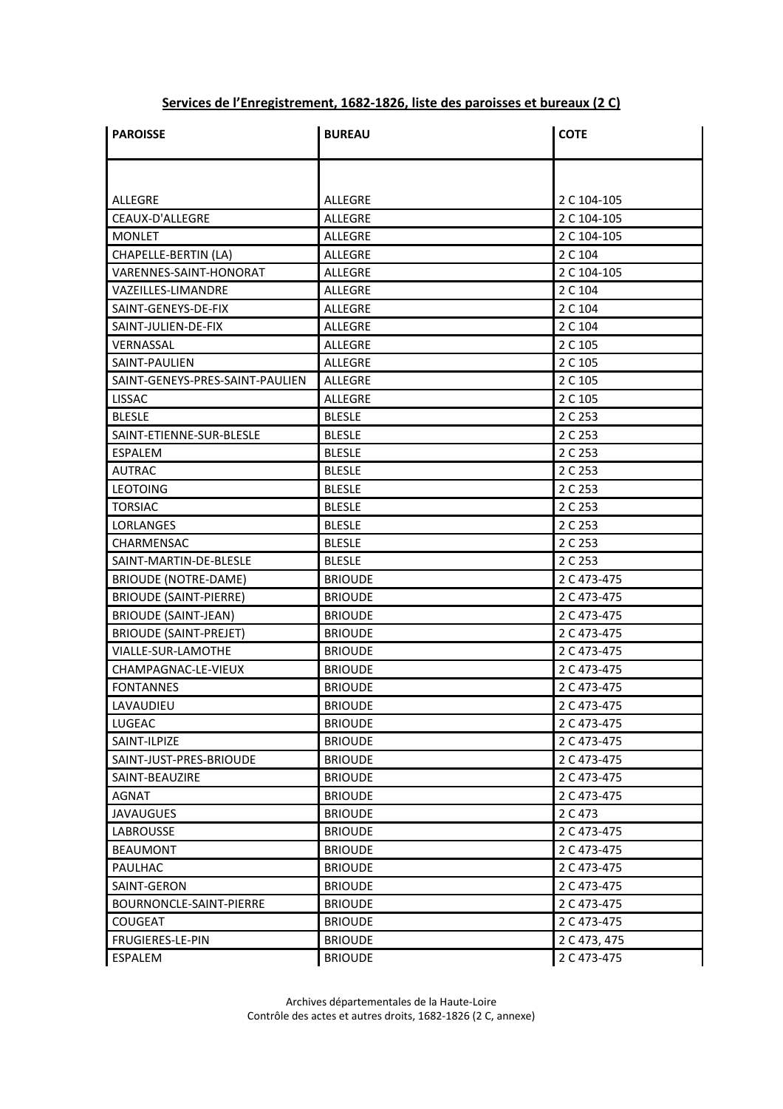## **Services de l'Enregistrement, 1682-1826, liste des paroisses et bureaux (2 C)**

| <b>PAROISSE</b>                 | <b>BUREAU</b>  | <b>COTE</b>  |
|---------------------------------|----------------|--------------|
|                                 |                |              |
| ALLEGRE                         | ALLEGRE        | 2 C 104-105  |
| CEAUX-D'ALLEGRE                 | <b>ALLEGRE</b> | 2 C 104-105  |
| MONLET                          | <b>ALLEGRE</b> | 2 C 104-105  |
| CHAPELLE-BERTIN (LA)            | ALLEGRE        | 2 C 104      |
| VARENNES-SAINT-HONORAT          | ALLEGRE        | 2 C 104-105  |
| VAZEILLES-LIMANDRE              | <b>ALLEGRE</b> | 2 C 104      |
| SAINT-GENEYS-DE-FIX             | ALLEGRE        | 2 C 104      |
| SAINT-JULIEN-DE-FIX             | ALLEGRE        | 2 C 104      |
| VERNASSAL                       | <b>ALLEGRE</b> | 2 C 105      |
| SAINT-PAULIEN                   | ALLEGRE        | 2 C 105      |
| SAINT-GENEYS-PRES-SAINT-PAULIEN | ALLEGRE        | 2 C 105      |
| <b>LISSAC</b>                   | ALLEGRE        | 2 C 105      |
| <b>BLESLE</b>                   | <b>BLESLE</b>  | 2 C 253      |
| SAINT-ETIENNE-SUR-BLESLE        | <b>BLESLE</b>  | 2 C 253      |
| ESPALEM                         | <b>BLESLE</b>  | 2 C 253      |
| <b>AUTRAC</b>                   | <b>BLESLE</b>  | 2 C 253      |
| <b>LEOTOING</b>                 | <b>BLESLE</b>  | 2 C 253      |
| <b>TORSIAC</b>                  | <b>BLESLE</b>  | 2 C 253      |
| <b>LORLANGES</b>                | <b>BLESLE</b>  | 2 C 253      |
| CHARMENSAC                      | <b>BLESLE</b>  | 2 C 253      |
| SAINT-MARTIN-DE-BLESLE          | <b>BLESLE</b>  | 2 C 253      |
| <b>BRIOUDE (NOTRE-DAME)</b>     | <b>BRIOUDE</b> | 2 C 473-475  |
| <b>BRIOUDE (SAINT-PIERRE)</b>   | <b>BRIOUDE</b> | 2 C 473-475  |
| <b>BRIOUDE (SAINT-JEAN)</b>     | <b>BRIOUDE</b> | 2 C 473-475  |
| <b>BRIOUDE (SAINT-PREJET)</b>   | <b>BRIOUDE</b> | 2 C 473-475  |
| VIALLE-SUR-LAMOTHE              | <b>BRIOUDE</b> | 2 C 473-475  |
| CHAMPAGNAC-LE-VIEUX             | <b>BRIOUDE</b> | 2 C 473-475  |
| <b>FONTANNES</b>                | <b>BRIOUDE</b> | 2 C 473-475  |
| LAVAUDIEU                       | <b>BRIOUDE</b> | 2 C 473-475  |
| LUGEAC                          | <b>BRIOUDE</b> | 2 C 473-475  |
| SAINT-ILPIZE                    | <b>BRIOUDE</b> | 2 C 473-475  |
| SAINT-JUST-PRES-BRIOUDE         | <b>BRIOUDE</b> | 2 C 473-475  |
| SAINT-BEAUZIRE                  | <b>BRIOUDE</b> | 2 C 473-475  |
| AGNAT                           | <b>BRIOUDE</b> | 2 C 473-475  |
| <b>JAVAUGUES</b>                | <b>BRIOUDE</b> | 2 C 473      |
| LABROUSSE                       | <b>BRIOUDE</b> | 2 C 473-475  |
| <b>BEAUMONT</b>                 | <b>BRIOUDE</b> | 2 C 473-475  |
| PAULHAC                         | <b>BRIOUDE</b> | 2 C 473-475  |
| SAINT-GERON                     | <b>BRIOUDE</b> | 2 C 473-475  |
| BOURNONCLE-SAINT-PIERRE         | <b>BRIOUDE</b> | 2 C 473-475  |
| <b>COUGEAT</b>                  | <b>BRIOUDE</b> | 2 C 473-475  |
| <b>FRUGIERES-LE-PIN</b>         | <b>BRIOUDE</b> | 2 C 473, 475 |
| ESPALEM                         | <b>BRIOUDE</b> | 2 C 473-475  |

Archives départementales de la Haute-Loire Contrôle des actes et autres droits, 1682-1826 (2 C, annexe)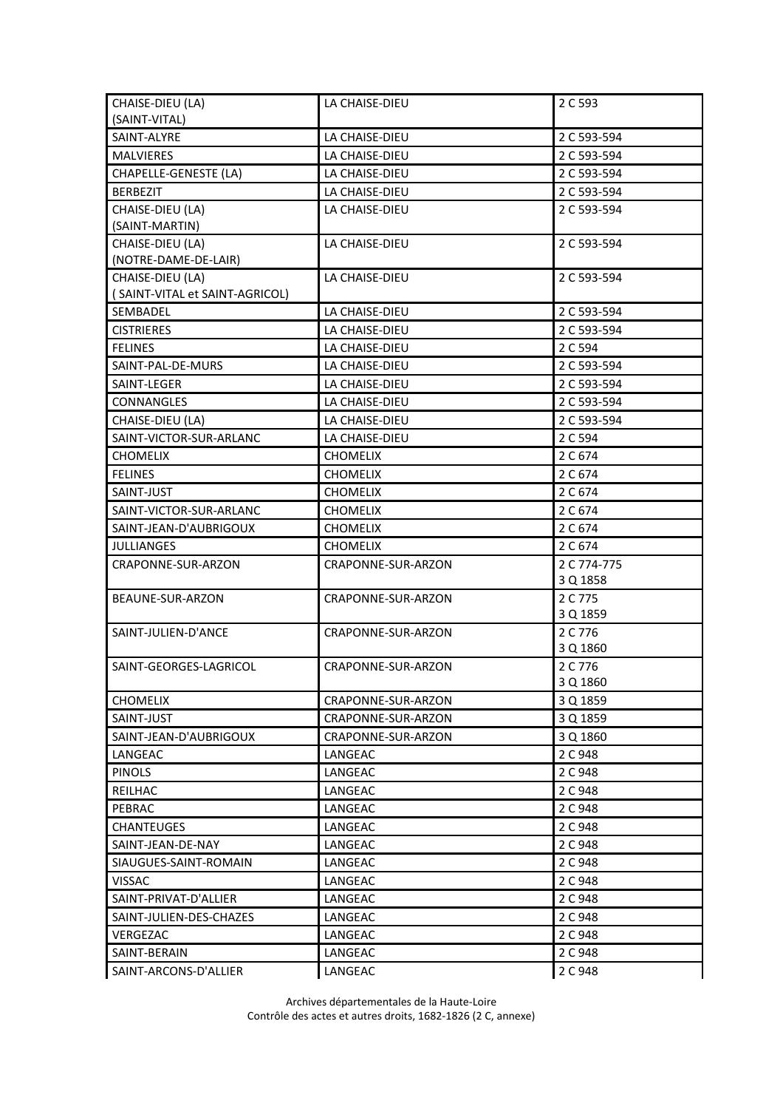| CHAISE-DIEU (LA)                                  | LA CHAISE-DIEU     | 2 C 593                 |
|---------------------------------------------------|--------------------|-------------------------|
| (SAINT-VITAL)                                     |                    |                         |
| SAINT-ALYRE                                       | LA CHAISE-DIEU     | 2 C 593-594             |
| <b>MALVIERES</b>                                  | LA CHAISE-DIEU     | 2 C 593-594             |
| CHAPELLE-GENESTE (LA)                             | LA CHAISE-DIEU     | 2 C 593-594             |
| <b>BERBEZIT</b>                                   | LA CHAISE-DIEU     | 2 C 593-594             |
| CHAISE-DIEU (LA)<br>(SAINT-MARTIN)                | LA CHAISE-DIEU     | 2 C 593-594             |
| CHAISE-DIEU (LA)<br>(NOTRE-DAME-DE-LAIR)          | LA CHAISE-DIEU     | 2 C 593-594             |
| CHAISE-DIEU (LA)                                  | LA CHAISE-DIEU     | 2 C 593-594             |
| (SAINT-VITAL et SAINT-AGRICOL)                    |                    |                         |
| SEMBADEL                                          | LA CHAISE-DIEU     | 2 C 593-594             |
| <b>CISTRIERES</b>                                 | LA CHAISE-DIEU     | 2 C 593-594             |
| <b>FELINES</b>                                    | LA CHAISE-DIEU     | 2 C 594                 |
| SAINT-PAL-DE-MURS                                 | LA CHAISE-DIEU     | 2 C 593-594             |
| SAINT-LEGER                                       | LA CHAISE-DIEU     | 2 C 593-594             |
| CONNANGLES                                        | LA CHAISE-DIEU     | 2 C 593-594             |
| CHAISE-DIEU (LA)                                  | LA CHAISE-DIEU     | 2 C 593-594             |
| SAINT-VICTOR-SUR-ARLANC                           | LA CHAISE-DIEU     | 2 C 594                 |
| <b>CHOMELIX</b>                                   | <b>CHOMELIX</b>    | 2 C 674                 |
| <b>FELINES</b>                                    | <b>CHOMELIX</b>    | 2 C 674                 |
| SAINT-JUST                                        | <b>CHOMELIX</b>    | 2 C 674                 |
|                                                   |                    |                         |
| SAINT-VICTOR-SUR-ARLANC<br>SAINT-JEAN-D'AUBRIGOUX | <b>CHOMELIX</b>    | 2 C 674                 |
|                                                   | <b>CHOMELIX</b>    | 2 C 674                 |
| <b>JULLIANGES</b>                                 | <b>CHOMELIX</b>    | 2 C 674                 |
| CRAPONNE-SUR-ARZON                                | CRAPONNE-SUR-ARZON | 2 C 774-775<br>3 Q 1858 |
| BEAUNE-SUR-ARZON                                  | CRAPONNE-SUR-ARZON | 2 C 775                 |
|                                                   |                    | 3 Q 1859                |
| SAINT-JULIEN-D'ANCE                               | CRAPONNE-SUR-ARZON | 2 C 776                 |
|                                                   |                    | 3 Q 1860                |
| SAINT-GEORGES-LAGRICOL                            | CRAPONNE-SUR-ARZON | 2 C 776                 |
|                                                   |                    | 3 Q 1860                |
| <b>CHOMELIX</b>                                   | CRAPONNE-SUR-ARZON | 3 Q 1859                |
| SAINT-JUST                                        | CRAPONNE-SUR-ARZON | 3 Q 1859                |
| SAINT-JEAN-D'AUBRIGOUX                            | CRAPONNE-SUR-ARZON | 3 Q 1860                |
| LANGEAC                                           | LANGEAC            | 2 C 948                 |
| <b>PINOLS</b>                                     | LANGEAC            | 2 C 948                 |
| REILHAC                                           | LANGEAC            | 2 C 948                 |
| PEBRAC                                            | LANGEAC            | 2 C 948                 |
| <b>CHANTEUGES</b>                                 | LANGEAC            | 2 C 948                 |
| SAINT-JEAN-DE-NAY                                 | LANGEAC            | 2 C 948                 |
| SIAUGUES-SAINT-ROMAIN                             | LANGEAC            | 2 C 948                 |
| <b>VISSAC</b>                                     | LANGEAC            | 2 C 948                 |
| SAINT-PRIVAT-D'ALLIER                             | LANGEAC            | 2 C 948                 |
| SAINT-JULIEN-DES-CHAZES                           | LANGEAC            | 2 C 948                 |
| VERGEZAC                                          | LANGEAC            | 2 C 948                 |
| SAINT-BERAIN                                      | LANGEAC            | 2 C 948                 |
| SAINT-ARCONS-D'ALLIER                             | LANGEAC            | 2 C 948                 |

Archives départementales de la Haute-Loire Contrôle des actes et autres droits, 1682-1826 (2 C, annexe)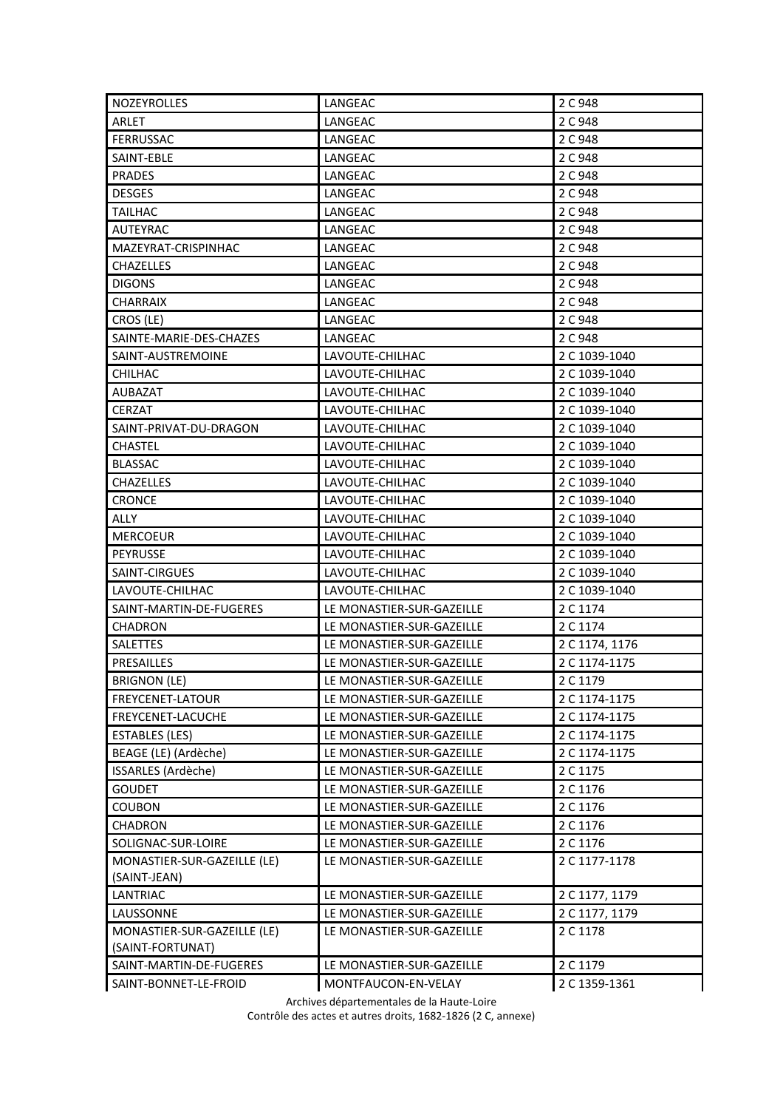| <b>NOZEYROLLES</b>          | LANGEAC                   | 2 C 948        |
|-----------------------------|---------------------------|----------------|
| ARLET                       | LANGEAC                   | 2 C 948        |
| <b>FERRUSSAC</b>            | LANGEAC                   | 2 C 948        |
| SAINT-EBLE                  | LANGEAC                   | 2 C 948        |
| <b>PRADES</b>               | LANGEAC                   | 2 C 948        |
| <b>DESGES</b>               | LANGEAC                   | 2 C 948        |
| <b>TAILHAC</b>              | LANGEAC                   | 2 C 948        |
| <b>AUTEYRAC</b>             | LANGEAC                   | 2 C 948        |
| MAZEYRAT-CRISPINHAC         | LANGEAC                   | 2 C 948        |
| <b>CHAZELLES</b>            | LANGEAC                   | 2 C 948        |
| <b>DIGONS</b>               | LANGEAC                   | 2 C 948        |
| <b>CHARRAIX</b>             | LANGEAC                   | 2 C 948        |
| CROS (LE)                   | LANGEAC                   | 2 C 948        |
| SAINTE-MARIE-DES-CHAZES     | LANGEAC                   | 2 C 948        |
| SAINT-AUSTREMOINE           | LAVOUTE-CHILHAC           | 2 C 1039-1040  |
| <b>CHILHAC</b>              | LAVOUTE-CHILHAC           | 2 C 1039-1040  |
| <b>AUBAZAT</b>              | LAVOUTE-CHILHAC           | 2 C 1039-1040  |
| <b>CERZAT</b>               | LAVOUTE-CHILHAC           | 2 C 1039-1040  |
| SAINT-PRIVAT-DU-DRAGON      | LAVOUTE-CHILHAC           | 2 C 1039-1040  |
| <b>CHASTEL</b>              | LAVOUTE-CHILHAC           | 2 C 1039-1040  |
| <b>BLASSAC</b>              | LAVOUTE-CHILHAC           | 2 C 1039-1040  |
| <b>CHAZELLES</b>            | LAVOUTE-CHILHAC           | 2 C 1039-1040  |
| <b>CRONCE</b>               | LAVOUTE-CHILHAC           | 2 C 1039-1040  |
| ALLY                        | LAVOUTE-CHILHAC           | 2 C 1039-1040  |
| <b>MERCOEUR</b>             | LAVOUTE-CHILHAC           | 2 C 1039-1040  |
| <b>PEYRUSSE</b>             | LAVOUTE-CHILHAC           | 2 C 1039-1040  |
| SAINT-CIRGUES               | LAVOUTE-CHILHAC           | 2 C 1039-1040  |
| LAVOUTE-CHILHAC             | LAVOUTE-CHILHAC           | 2 C 1039-1040  |
| SAINT-MARTIN-DE-FUGERES     | LE MONASTIER-SUR-GAZEILLE | 2 C 1174       |
| <b>CHADRON</b>              | LE MONASTIER-SUR-GAZEILLE | 2 C 1174       |
| <b>SALETTES</b>             | LE MONASTIER-SUR-GAZEILLE | 2 C 1174, 1176 |
| PRESAILLES                  | LE MONASTIER-SUR-GAZEILLE | 2 C 1174-1175  |
| <b>BRIGNON (LE)</b>         | LE MONASTIER-SUR-GAZEILLE | 2 C 1179       |
| FREYCENET-LATOUR            | LE MONASTIER-SUR-GAZEILLE | 2 C 1174-1175  |
| FREYCENET-LACUCHE           | LE MONASTIER-SUR-GAZEILLE | 2 C 1174-1175  |
| <b>ESTABLES (LES)</b>       | LE MONASTIER-SUR-GAZEILLE | 2 C 1174-1175  |
| BEAGE (LE) (Ardèche)        | LE MONASTIER-SUR-GAZEILLE | 2 C 1174-1175  |
| ISSARLES (Ardèche)          | LE MONASTIER-SUR-GAZEILLE | 2 C 1175       |
| <b>GOUDET</b>               | LE MONASTIER-SUR-GAZEILLE | 2 C 1176       |
| <b>COUBON</b>               | LE MONASTIER-SUR-GAZEILLE | 2 C 1176       |
| <b>CHADRON</b>              | LE MONASTIER-SUR-GAZEILLE | 2 C 1176       |
| SOLIGNAC-SUR-LOIRE          | LE MONASTIER-SUR-GAZEILLE | 2 C 1176       |
| MONASTIER-SUR-GAZEILLE (LE) | LE MONASTIER-SUR-GAZEILLE | 2 C 1177-1178  |
| (SAINT-JEAN)                |                           |                |
| LANTRIAC                    | LE MONASTIER-SUR-GAZEILLE | 2 C 1177, 1179 |
| LAUSSONNE                   | LE MONASTIER-SUR-GAZEILLE | 2 C 1177, 1179 |
| MONASTIER-SUR-GAZEILLE (LE) | LE MONASTIER-SUR-GAZEILLE | 2 C 1178       |
| (SAINT-FORTUNAT)            |                           |                |
| SAINT-MARTIN-DE-FUGERES     | LE MONASTIER-SUR-GAZEILLE | 2 C 1179       |
| SAINT-BONNET-LE-FROID       | MONTFAUCON-EN-VELAY       | 2 C 1359-1361  |

Archives départementales de la Haute-Loire

Contrôle des actes et autres droits, 1682-1826 (2 C, annexe)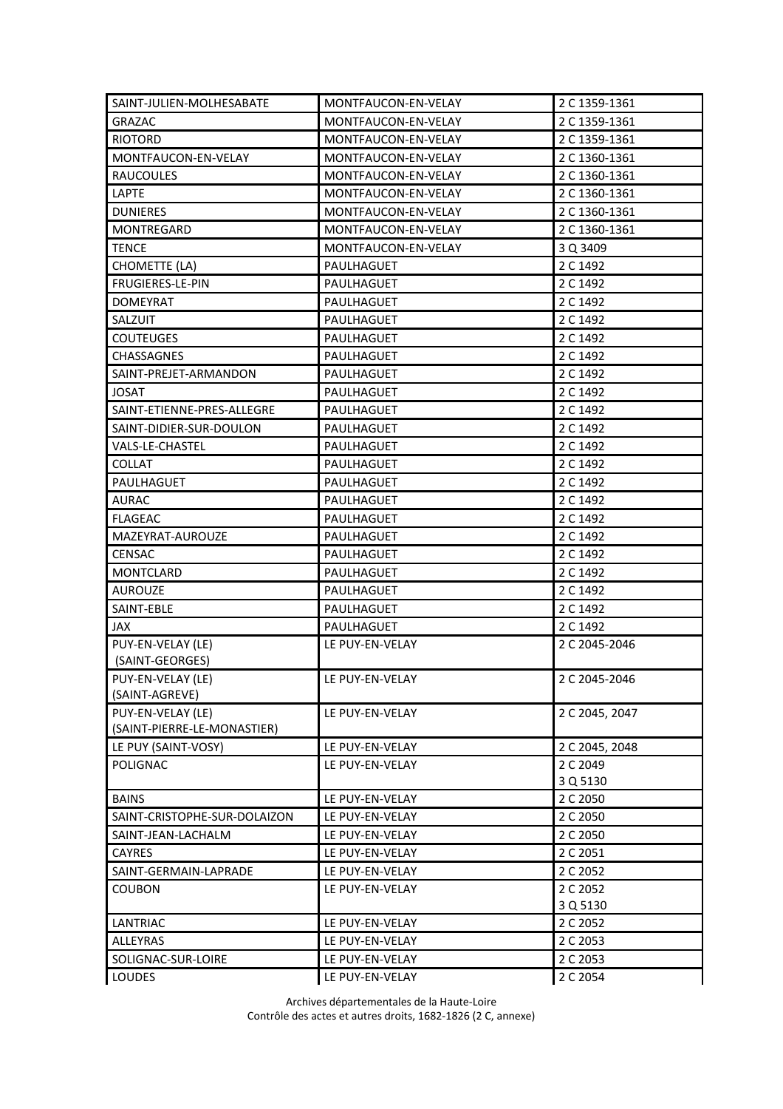| SAINT-JULIEN-MOLHESABATE                         | MONTFAUCON-EN-VELAY | 2 C 1359-1361        |
|--------------------------------------------------|---------------------|----------------------|
| <b>GRAZAC</b>                                    | MONTFAUCON-EN-VELAY | 2 C 1359-1361        |
| <b>RIOTORD</b>                                   | MONTFAUCON-EN-VELAY | 2 C 1359-1361        |
| MONTFAUCON-EN-VELAY                              | MONTFAUCON-EN-VELAY | 2 C 1360-1361        |
| <b>RAUCOULES</b>                                 | MONTFAUCON-EN-VELAY | 2 C 1360-1361        |
| LAPTE                                            | MONTFAUCON-EN-VELAY | 2 C 1360-1361        |
| <b>DUNIERES</b>                                  | MONTFAUCON-EN-VELAY | 2 C 1360-1361        |
| MONTREGARD                                       | MONTFAUCON-EN-VELAY | 2 C 1360-1361        |
| <b>TENCE</b>                                     | MONTFAUCON-EN-VELAY | 3 Q 3409             |
| <b>CHOMETTE (LA)</b>                             | PAULHAGUET          | 2 C 1492             |
| FRUGIERES-LE-PIN                                 | PAULHAGUET          | 2 C 1492             |
| <b>DOMEYRAT</b>                                  | PAULHAGUET          | 2 C 1492             |
| SALZUIT                                          | PAULHAGUET          | 2 C 1492             |
| <b>COUTEUGES</b>                                 | PAULHAGUET          | 2 C 1492             |
| <b>CHASSAGNES</b>                                | PAULHAGUET          | 2 C 1492             |
| SAINT-PREJET-ARMANDON                            | PAULHAGUET          | 2 C 1492             |
| <b>JOSAT</b>                                     | PAULHAGUET          | 2 C 1492             |
| SAINT-ETIENNE-PRES-ALLEGRE                       | PAULHAGUET          | 2 C 1492             |
| SAINT-DIDIER-SUR-DOULON                          | PAULHAGUET          | 2 C 1492             |
| VALS-LE-CHASTEL                                  | PAULHAGUET          | 2 C 1492             |
| <b>COLLAT</b>                                    | PAULHAGUET          | 2 C 1492             |
| PAULHAGUET                                       | PAULHAGUET          | 2 C 1492             |
| <b>AURAC</b>                                     | PAULHAGUET          | 2 C 1492             |
| <b>FLAGEAC</b>                                   | PAULHAGUET          | 2 C 1492             |
| MAZEYRAT-AUROUZE                                 | PAULHAGUET          | 2 C 1492             |
| <b>CENSAC</b>                                    | PAULHAGUET          | 2 C 1492             |
| <b>MONTCLARD</b>                                 | PAULHAGUET          | 2 C 1492             |
| <b>AUROUZE</b>                                   | PAULHAGUET          | 2 C 1492             |
| SAINT-EBLE                                       | PAULHAGUET          | 2 C 1492             |
| JAX                                              | PAULHAGUET          | 2 C 1492             |
| PUY-EN-VELAY (LE)<br>(SAINT-GEORGES)             | LE PUY-EN-VELAY     | 2 C 2045-2046        |
| PUY-EN-VELAY (LE)                                | LE PUY-EN-VELAY     | 2 C 2045-2046        |
| (SAINT-AGREVE)                                   |                     |                      |
| PUY-EN-VELAY (LE)<br>(SAINT-PIERRE-LE-MONASTIER) | LE PUY-EN-VELAY     | 2 C 2045, 2047       |
| LE PUY (SAINT-VOSY)                              | LE PUY-EN-VELAY     | 2 C 2045, 2048       |
| <b>POLIGNAC</b>                                  | LE PUY-EN-VELAY     | 2 C 2049<br>3 Q 5130 |
| <b>BAINS</b>                                     | LE PUY-EN-VELAY     | 2 C 2050             |
| SAINT-CRISTOPHE-SUR-DOLAIZON                     | LE PUY-EN-VELAY     | 2 C 2050             |
| SAINT-JEAN-LACHALM                               | LE PUY-EN-VELAY     | 2 C 2050             |
| <b>CAYRES</b>                                    | LE PUY-EN-VELAY     | 2 C 2051             |
| SAINT-GERMAIN-LAPRADE                            | LE PUY-EN-VELAY     | 2 C 2052             |
| <b>COUBON</b>                                    | LE PUY-EN-VELAY     | 2 C 2052             |
|                                                  |                     | 3 Q 5130             |
| LANTRIAC                                         | LE PUY-EN-VELAY     | 2 C 2052             |
| ALLEYRAS                                         | LE PUY-EN-VELAY     | 2 C 2053             |
| SOLIGNAC-SUR-LOIRE                               | LE PUY-EN-VELAY     | 2 C 2053             |
| <b>LOUDES</b>                                    | LE PUY-EN-VELAY     | 2 C 2054             |

Archives départementales de la Haute-Loire Contrôle des actes et autres droits, 1682-1826 (2 C, annexe)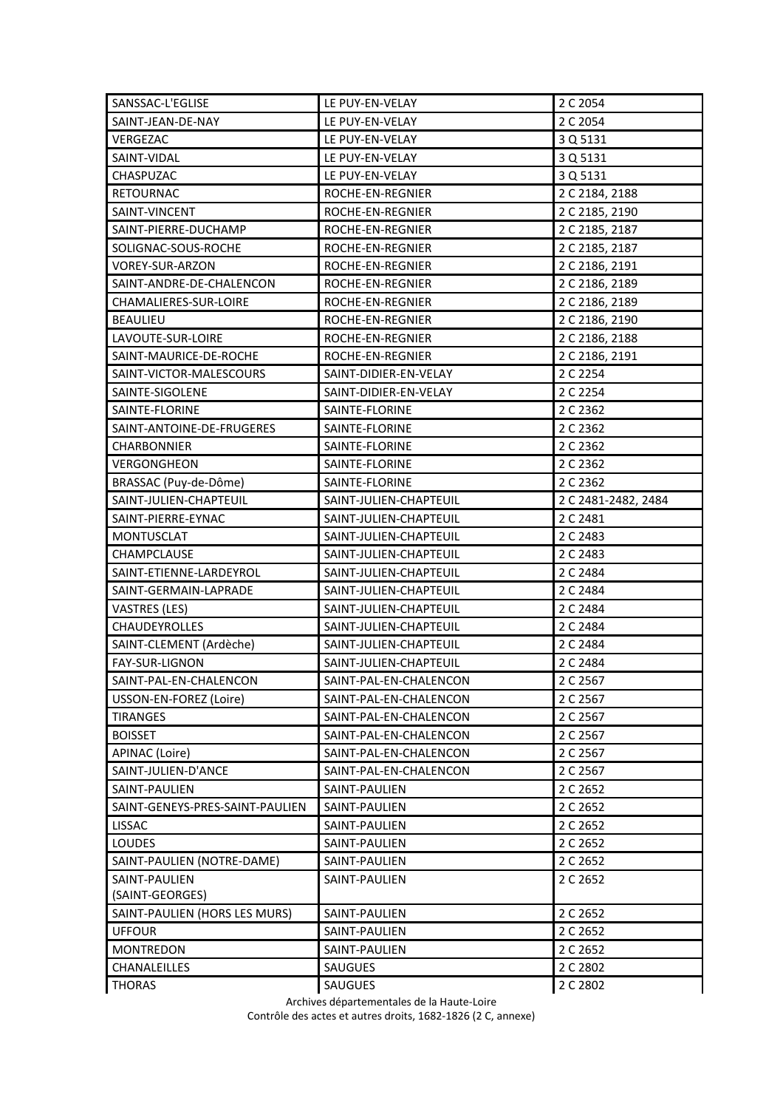| SANSSAC-L'EGLISE                | LE PUY-EN-VELAY        | 2 C 2054            |
|---------------------------------|------------------------|---------------------|
| SAINT-JEAN-DE-NAY               | LE PUY-EN-VELAY        | 2 C 2054            |
| VERGEZAC                        | LE PUY-EN-VELAY        | 3 Q 5131            |
| SAINT-VIDAL                     | LE PUY-EN-VELAY        | 3 Q 5131            |
| CHASPUZAC                       | LE PUY-EN-VELAY        | 3 Q 5131            |
| <b>RETOURNAC</b>                | ROCHE-EN-REGNIER       | 2 C 2184, 2188      |
| SAINT-VINCENT                   | ROCHE-EN-REGNIER       | 2 C 2185, 2190      |
| SAINT-PIERRE-DUCHAMP            | ROCHE-EN-REGNIER       | 2 C 2185, 2187      |
| SOLIGNAC-SOUS-ROCHE             | ROCHE-EN-REGNIER       | 2 C 2185, 2187      |
| <b>VOREY-SUR-ARZON</b>          | ROCHE-EN-REGNIER       | 2 C 2186, 2191      |
| SAINT-ANDRE-DE-CHALENCON        | ROCHE-EN-REGNIER       | 2 C 2186, 2189      |
| CHAMALIERES-SUR-LOIRE           | ROCHE-EN-REGNIER       | 2 C 2186, 2189      |
| <b>BEAULIEU</b>                 | ROCHE-EN-REGNIER       | 2 C 2186, 2190      |
| LAVOUTE-SUR-LOIRE               | ROCHE-EN-REGNIER       | 2 C 2186, 2188      |
| SAINT-MAURICE-DE-ROCHE          | ROCHE-EN-REGNIER       | 2 C 2186, 2191      |
| SAINT-VICTOR-MALESCOURS         | SAINT-DIDIER-EN-VELAY  | 2 C 2254            |
| SAINTE-SIGOLENE                 | SAINT-DIDIER-EN-VELAY  | 2 C 2254            |
| SAINTE-FLORINE                  | SAINTE-FLORINE         | 2 C 2362            |
| SAINT-ANTOINE-DE-FRUGERES       | SAINTE-FLORINE         | 2 C 2362            |
| CHARBONNIER                     | SAINTE-FLORINE         | 2 C 2362            |
| VERGONGHEON                     | SAINTE-FLORINE         | 2 C 2362            |
| BRASSAC (Puy-de-Dôme)           | SAINTE-FLORINE         | 2 C 2362            |
| SAINT-JULIEN-CHAPTEUIL          | SAINT-JULIEN-CHAPTEUIL | 2 C 2481-2482, 2484 |
| SAINT-PIERRE-EYNAC              | SAINT-JULIEN-CHAPTEUIL | 2 C 2481            |
| <b>MONTUSCLAT</b>               | SAINT-JULIEN-CHAPTEUIL | 2 C 2483            |
| CHAMPCLAUSE                     | SAINT-JULIEN-CHAPTEUIL | 2 C 2483            |
| SAINT-ETIENNE-LARDEYROL         | SAINT-JULIEN-CHAPTEUIL | 2 C 2484            |
| SAINT-GERMAIN-LAPRADE           | SAINT-JULIEN-CHAPTEUIL | 2 C 2484            |
| <b>VASTRES (LES)</b>            | SAINT-JULIEN-CHAPTEUIL | 2 C 2484            |
| <b>CHAUDEYROLLES</b>            | SAINT-JULIEN-CHAPTEUIL | 2 C 2484            |
| SAINT-CLEMENT (Ardèche)         | SAINT-JULIEN-CHAPTEUIL | 2 C 2484            |
| FAY-SUR-LIGNON                  | SAINT-JULIEN-CHAPTEUIL | 2 C 2484            |
| SAINT-PAL-EN-CHALENCON          | SAINT-PAL-EN-CHALENCON | 2 C 2567            |
| USSON-EN-FOREZ (Loire)          | SAINT-PAL-EN-CHALENCON | 2 C 2567            |
| <b>TIRANGES</b>                 | SAINT-PAL-EN-CHALENCON | 2 C 2567            |
| <b>BOISSET</b>                  | SAINT-PAL-EN-CHALENCON | 2 C 2567            |
| APINAC (Loire)                  | SAINT-PAL-EN-CHALENCON | 2 C 2567            |
| SAINT-JULIEN-D'ANCE             | SAINT-PAL-EN-CHALENCON | 2 C 2567            |
| SAINT-PAULIEN                   | SAINT-PAULIEN          | 2 C 2652            |
| SAINT-GENEYS-PRES-SAINT-PAULIEN | SAINT-PAULIEN          | 2 C 2652            |
| <b>LISSAC</b>                   | SAINT-PAULIEN          | 2 C 2652            |
| LOUDES                          | SAINT-PAULIEN          | 2 C 2652            |
| SAINT-PAULIEN (NOTRE-DAME)      | SAINT-PAULIEN          | 2 C 2652            |
| SAINT-PAULIEN                   | SAINT-PAULIEN          | 2 C 2652            |
| (SAINT-GEORGES)                 |                        |                     |
| SAINT-PAULIEN (HORS LES MURS)   | SAINT-PAULIEN          | 2 C 2652            |
| <b>UFFOUR</b>                   | SAINT-PAULIEN          | 2 C 2652            |
| <b>MONTREDON</b>                | SAINT-PAULIEN          | 2 C 2652            |
| CHANALEILLES                    | SAUGUES                | 2 C 2802            |
| <b>THORAS</b>                   | SAUGUES                | 2 C 2802            |

Archives départementales de la Haute-Loire

Contrôle des actes et autres droits, 1682-1826 (2 C, annexe)